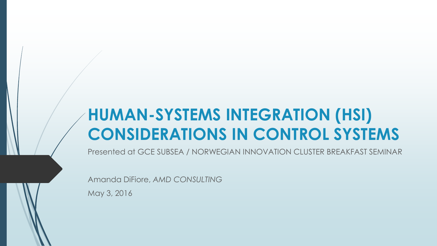## **HUMAN-SYSTEMS INTEGRATION (HSI) CONSIDERATIONS IN CONTROL SYSTEMS**

Presented at GCE SUBSEA / NORWEGIAN INNOVATION CLUSTER BREAKFAST SEMINAR

Amanda DiFiore, *AMD CONSULTING*

May 3, 2016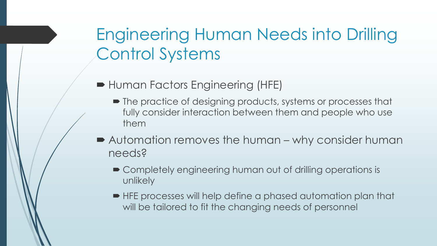# Engineering Human Needs into Drilling Control Systems

- Human Factors Engineering (HFE)
	- The practice of designing products, systems or processes that fully consider interaction between them and people who use them
- Automation removes the human why consider human needs?
	- Completely engineering human out of drilling operations is unlikely
	- HFE processes will help define a phased automation plan that will be tailored to fit the changing needs of personnel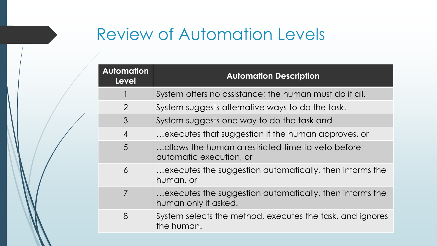## Review of Automation Levels

| <b>Automation</b><br><b>Level</b> | <b>Automation Description</b>                                                   |
|-----------------------------------|---------------------------------------------------------------------------------|
|                                   | System offers no assistance; the human must do it all.                          |
| $\overline{2}$                    | System suggests alternative ways to do the task.                                |
| 3                                 | System suggests one way to do the task and                                      |
| $\overline{4}$                    | executes that suggestion if the human approves, or                              |
| 5                                 | allows the human a restricted time to veto before<br>automatic execution, or    |
| $\overline{6}$                    | executes the suggestion automatically, then informs the<br>human, or            |
| $\overline{7}$                    | executes the suggestion automatically, then informs the<br>human only if asked. |
| 8                                 | System selects the method, executes the task, and ignores<br>the human.         |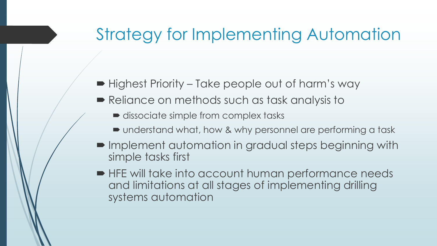#### Strategy for Implementing Automation

- Highest Priority Take people out of harm's way
- Reliance on methods such as task analysis to
	- dissociate simple from complex tasks
	- understand what, how & why personnel are performing a task
- $\blacksquare$  Implement automation in gradual steps beginning with simple tasks first
- HFE will take into account human performance needs and limitations at all stages of implementing drilling systems automation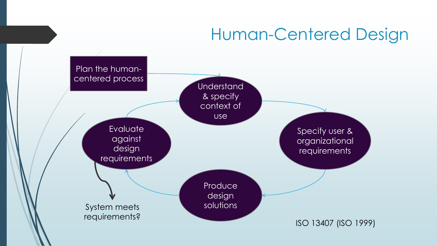## Human-Centered Design

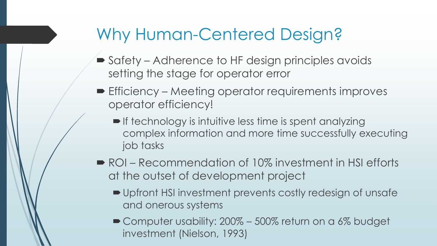## Why Human-Centered Design?

- Safety Adherence to HF design principles avoids setting the stage for operator error
- **Efficiency Meeting operator requirements improves** operator efficiency!
	- **If technology is intuitive less time is spent analyzing** complex information and more time successfully executing job tasks
- ROI Recommendation of 10% investment in HSI efforts at the outset of development project
	- Upfront HSI investment prevents costly redesign of unsafe and onerous systems
	- Computer usability: 200% 500% return on a 6% budget investment (Nielson, 1993)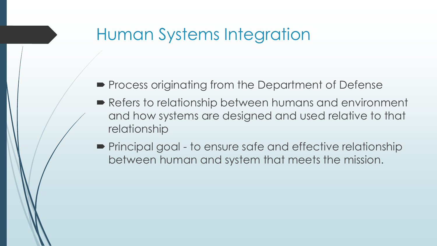- **Process originating from the Department of Defense**
- Refers to relationship between humans and environment and how systems are designed and used relative to that relationship
- **Principal goal to ensure safe and effective relationship** between human and system that meets the mission.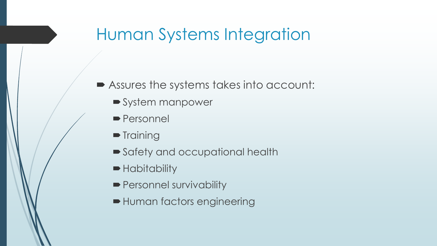- Assures the systems takes into account:
	- System manpower
	- **Personnel**
	- $\blacksquare$  Training
	- Safety and occupational health
	- **Habitability**
	- **Personnel survivability**
	- Human factors engineering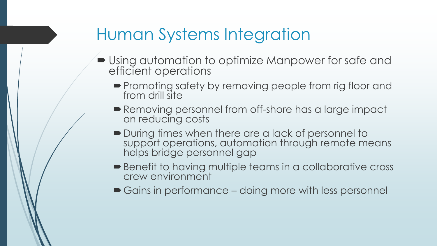- Using automation to optimize Manpower for safe and efficient operations
	- **Promoting safety by removing people from rig floor and** from drill site
	- Removing personnel from off-shore has a large impact on reducing costs
	- During times when there are a lack of personnel to support operations, automation through remote means helps bridge personnel gap
	- Benefit to having multiple teams in a collaborative cross crew environment
	- Gains in performance doing more with less personnel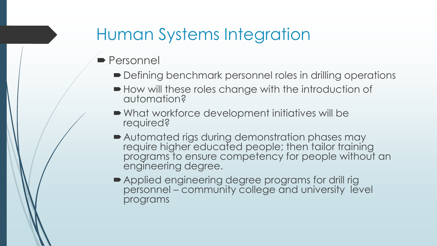- **Personnel** 
	- Defining benchmark personnel roles in drilling operations
	- $\blacktriangleright$  How will these roles change with the introduction of automation?
	- What workforce development initiatives will be required?
	- Automated rigs during demonstration phases may require higher educated people; then tailor training programs to ensure competency for people without an engineering degree.
	- Applied engineering degree programs for drill rig personnel – community college and university level programs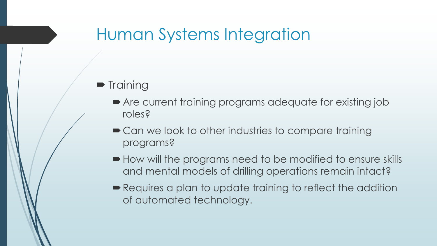#### $\blacksquare$  Training

- Are current training programs adequate for existing job roles?
- Can we look to other industries to compare training programs?
- $\blacktriangleright$  How will the programs need to be modified to ensure skills and mental models of drilling operations remain intact?
- Requires a plan to update training to reflect the addition of automated technology.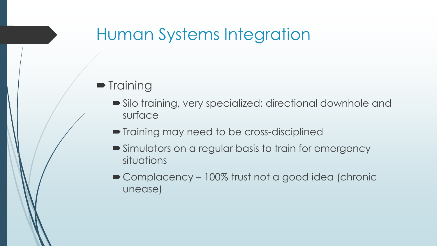#### $\blacksquare$  Training

- Silo training, very specialized; directional downhole and surface
- Training may need to be cross-disciplined
- Simulators on a regular basis to train for emergency situations
- Complacency 100% trust not a good idea (chronic unease)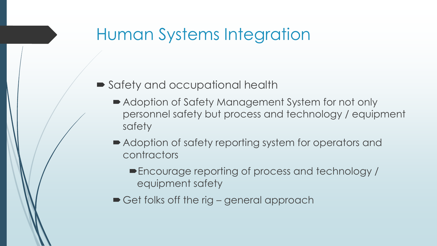- Safety and occupational health
	- Adoption of Safety Management System for not only personnel safety but process and technology / equipment safety
	- Adoption of safety reporting system for operators and contractors
		- Encourage reporting of process and technology / equipment safety
	- Get folks off the rig general approach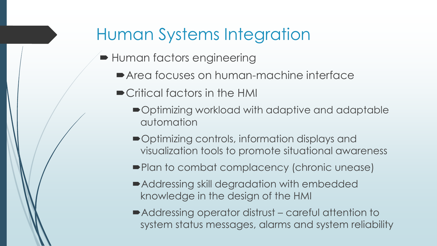- **Human factors engineering** 
	- Area focuses on human-machine interface
	- Critical factors in the HMI
		- Optimizing workload with adaptive and adaptable automation
		- Optimizing controls, information displays and visualization tools to promote situational awareness
		- **Plan to combat complacency (chronic unease)**
		- Addressing skill degradation with embedded knowledge in the design of the HMI
		- Addressing operator distrust careful attention to system status messages, alarms and system reliability